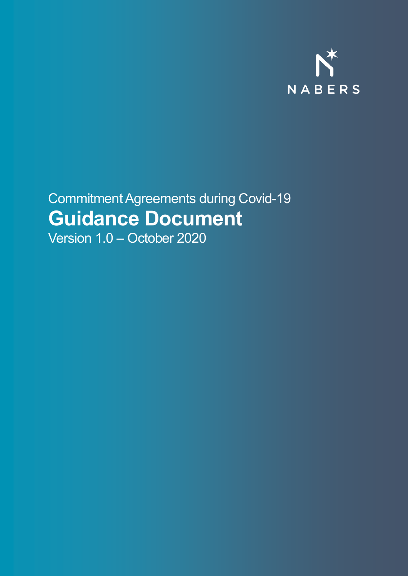

## Commitment Agreements during Covid-19 **Guidance Document**

Version 1.0 – October 2020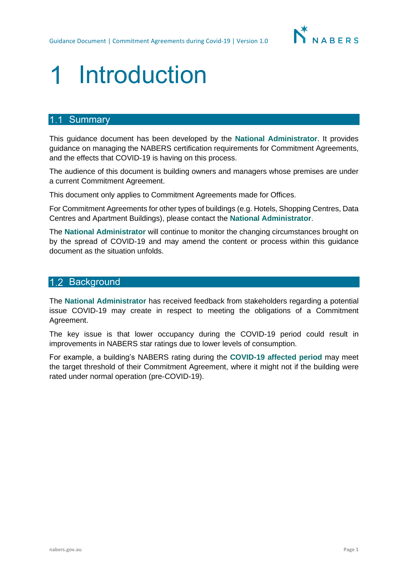

# Introduction

### 1.1 Summary

This guidance document has been developed by the **National Administrator**. It provides guidance on managing the NABERS certification requirements for Commitment Agreements, and the effects that COVID-19 is having on this process.

The audience of this document is building owners and managers whose premises are under a current Commitment Agreement.

This document only applies to Commitment Agreements made for Offices.

For Commitment Agreements for other types of buildings (e.g. Hotels, Shopping Centres, Data Centres and Apartment Buildings), please contact the **National Administrator**.

The **National Administrator** will continue to monitor the changing circumstances brought on by the spread of COVID-19 and may amend the content or process within this guidance document as the situation unfolds.

### 1.2 Background

The **National Administrator** has received feedback from stakeholders regarding a potential issue COVID-19 may create in respect to meeting the obligations of a Commitment Agreement.

The key issue is that lower occupancy during the COVID-19 period could result in improvements in NABERS star ratings due to lower levels of consumption.

For example, a building's NABERS rating during the **COVID-19 affected period** may meet the target threshold of their Commitment Agreement, where it might not if the building were rated under normal operation (pre-COVID-19).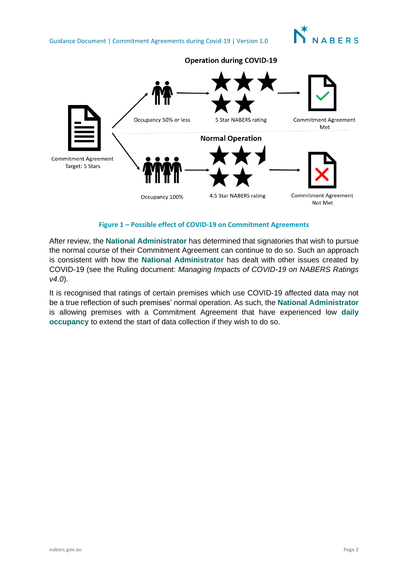

**Operation during COVID-19** 



**Figure 1 – Possible effect of COVID-19 on Commitment Agreements**

After review, the **National Administrator** has determined that signatories that wish to pursue the normal course of their Commitment Agreement can continue to do so. Such an approach is consistent with how the **National Administrator** has dealt with other issues created by COVID-19 (see the Ruling document: *Managing Impacts of COVID-19 on NABERS Ratings v4.0*).

It is recognised that ratings of certain premises which use COVID-19 affected data may not be a true reflection of such premises' normal operation. As such, the **National Administrator** is allowing premises with a Commitment Agreement that have experienced low **daily occupancy** to extend the start of data collection if they wish to do so.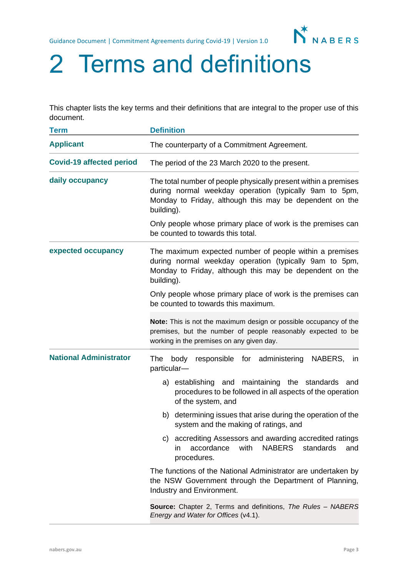

# 2 Terms and definitions

This chapter lists the key terms and their definitions that are integral to the proper use of this document.

| <b>Term</b>                     | <b>Definition</b>                                                                                                                                                                                  |  |
|---------------------------------|----------------------------------------------------------------------------------------------------------------------------------------------------------------------------------------------------|--|
| <b>Applicant</b>                | The counterparty of a Commitment Agreement.                                                                                                                                                        |  |
| <b>Covid-19 affected period</b> | The period of the 23 March 2020 to the present.                                                                                                                                                    |  |
| daily occupancy                 | The total number of people physically present within a premises<br>during normal weekday operation (typically 9am to 5pm,<br>Monday to Friday, although this may be dependent on the<br>building). |  |
|                                 | Only people whose primary place of work is the premises can<br>be counted to towards this total.                                                                                                   |  |
| expected occupancy              | The maximum expected number of people within a premises<br>during normal weekday operation (typically 9am to 5pm,<br>Monday to Friday, although this may be dependent on the<br>building).         |  |
|                                 | Only people whose primary place of work is the premises can<br>be counted to towards this maximum.                                                                                                 |  |
|                                 | Note: This is not the maximum design or possible occupancy of the<br>premises, but the number of people reasonably expected to be<br>working in the premises on any given day.                     |  |
| <b>National Administrator</b>   | for administering<br>NABERS,<br>The<br>body<br>responsible<br>$\mathsf{I}$<br>particular-                                                                                                          |  |
|                                 | a) establishing and maintaining the standards and<br>procedures to be followed in all aspects of the operation<br>of the system, and                                                               |  |
|                                 | determining issues that arise during the operation of the<br>b)<br>system and the making of ratings, and                                                                                           |  |
|                                 | accrediting Assessors and awarding accredited ratings<br>C)<br>with<br><b>NABERS</b><br>standards<br>accordance<br>and<br>in.<br>procedures.                                                       |  |
|                                 | The functions of the National Administrator are undertaken by<br>the NSW Government through the Department of Planning,<br>Industry and Environment.                                               |  |
|                                 | <b>Source:</b> Chapter 2, Terms and definitions, The Rules - NABERS<br>Energy and Water for Offices (v4.1).                                                                                        |  |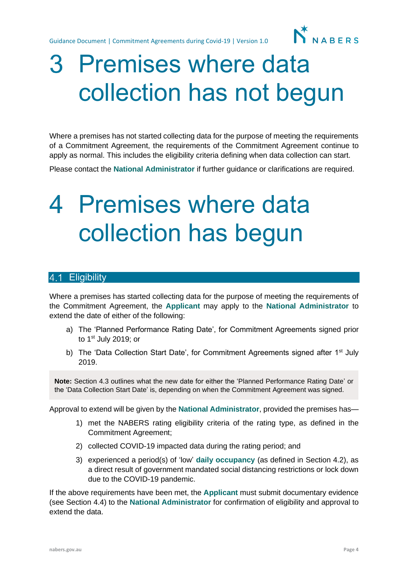Guidance Document | Commitment Agreements during Covid-19 | Version 1.0

# 3 Premises where data collection has not begun

Where a premises has not started collecting data for the purpose of meeting the requirements of a Commitment Agreement, the requirements of the Commitment Agreement continue to apply as normal. This includes the eligibility criteria defining when data collection can start.

Please contact the **National Administrator** if further guidance or clarifications are required.

# 4 Premises where data collection has begun

### 4.1 Eligibility

Where a premises has started collecting data for the purpose of meeting the requirements of the Commitment Agreement, the **Applicant** may apply to the **National Administrator** to extend the date of either of the following:

- a) The 'Planned Performance Rating Date', for Commitment Agreements signed prior to  $1<sup>st</sup>$  July 2019; or
- b) The 'Data Collection Start Date', for Commitment Agreements signed after 1<sup>st</sup> July 2019.

**Note:** Section 4.3 outlines what the new date for either the 'Planned Performance Rating Date' or the 'Data Collection Start Date' is, depending on when the Commitment Agreement was signed.

Approval to extend will be given by the **National Administrator**, provided the premises has—

- 1) met the NABERS rating eligibility criteria of the rating type, as defined in the Commitment Agreement;
- 2) collected COVID-19 impacted data during the rating period; and
- 3) experienced a period(s) of 'low' **daily occupancy** (as defined in Section 4.2), as a direct result of government mandated social distancing restrictions or lock down due to the COVID-19 pandemic.

If the above requirements have been met, the **Applicant** must submit documentary evidence (see Section 4.4) to the **National Administrator** for confirmation of eligibility and approval to extend the data.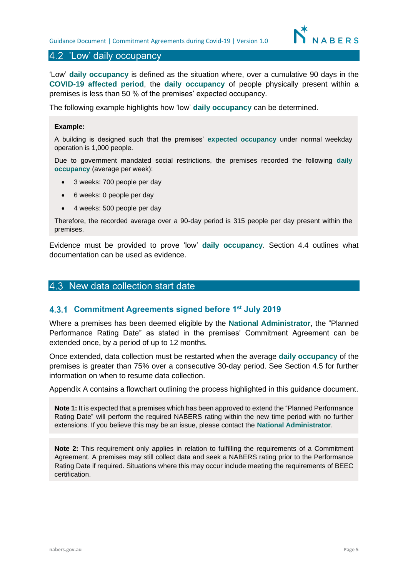### 4.2 'Low' daily occupancy

'Low' **daily occupancy** is defined as the situation where, over a cumulative 90 days in the **COVID-19 affected period**, the **daily occupancy** of people physically present within a premises is less than 50 % of the premises' expected occupancy.

The following example highlights how 'low' **daily occupancy** can be determined.

#### **Example:**

A building is designed such that the premises' **expected occupancy** under normal weekday operation is 1,000 people.

Due to government mandated social restrictions, the premises recorded the following **daily occupancy** (average per week):

- 3 weeks: 700 people per day
- 6 weeks: 0 people per day
- 4 weeks: 500 people per day

Therefore, the recorded average over a 90-day period is 315 people per day present within the premises.

Evidence must be provided to prove 'low' daily occupancy. Section 4.4 outlines what Example index by provided to prove form the *namp* securement is considered in a considered by documentation can be used as evidence. **occupancy**.

### 4.3 New data collection start date

#### **Commitment Agreements signed before 1 st July 2019**

Where a premises has been deemed eligible by the **National Administrator**, the "Planned Performance Rating Date" as stated in the premises' Commitment Agreement can be extended once, by a period of up to 12 months.

Once extended, data collection must be restarted when the average **daily occupancy** of the premises is greater than 75% over a consecutive 30-day period. See Section 4.5 for further information on when to resume data collection.

Appendix A contains a flowchart outlining the process highlighted in this guidance document.

**Note 1:** It is expected that a premises which has been approved to extend the "Planned Performance Rating Date" will perform the required NABERS rating within the new time period with no further extensions. If you believe this may be an issue, please contact the **National Administrator**.

**Note 2:** This requirement only applies in relation to fulfilling the requirements of a Commitment Agreement. A premises may still collect data and seek a NABERS rating prior to the Performance Rating Date if required. Situations where this may occur include meeting the requirements of BEEC certification.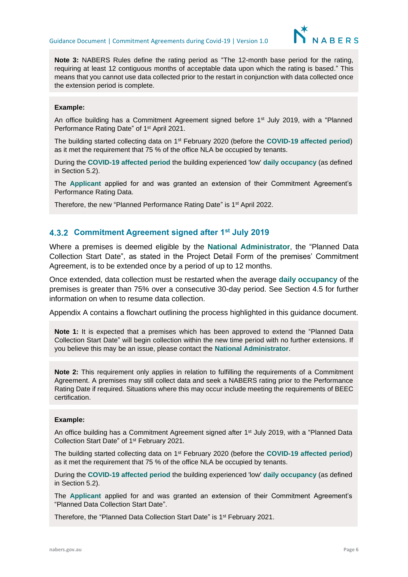

**Note 3:** NABERS Rules define the rating period as "The 12-month base period for the rating, requiring at least 12 contiguous months of acceptable data upon which the rating is based." This means that you cannot use data collected prior to the restart in conjunction with data collected once the extension period is complete.

#### **Example:**

An office building has a Commitment Agreement signed before  $1<sup>st</sup>$  July 2019, with a "Planned Performance Rating Date" of 1st April 2021.

The building started collecting data on 1st February 2020 (before the **COVID-19 affected period**) as it met the requirement that 75 % of the office NLA be occupied by tenants.

During the **COVID-19 affected period** the building experienced 'low' **daily occupancy** (as defined in Section 5.2).

The **Applicant** applied for and was granted an extension of their Commitment Agreement's Performance Rating Data.

Therefore, the new "Planned Performance Rating Date" is 1<sup>st</sup> April 2022.

#### **Commitment Agreement signed after 1st July 2019**

Where a premises is deemed eligible by the **National Administrator**, the "Planned Data Collection Start Date", as stated in the Project Detail Form of the premises' Commitment Agreement, is to be extended once by a period of up to 12 months.

Once extended, data collection must be restarted when the average **daily occupancy** of the premises is greater than 75% over a consecutive 30-day period. See Section 4.5 for further information on when to resume data collection.

Appendix A contains a flowchart outlining the process highlighted in this guidance document.

**Note 1:** It is expected that a premises which has been approved to extend the "Planned Data Collection Start Date" will begin collection within the new time period with no further extensions. If you believe this may be an issue, please contact the **National Administrator**.

**Note 2:** This requirement only applies in relation to fulfilling the requirements of a Commitment Agreement. A premises may still collect data and seek a NABERS rating prior to the Performance Rating Date if required. Situations where this may occur include meeting the requirements of BEEC certification.

#### **Example:**

An office building has a Commitment Agreement signed after 1<sup>st</sup> July 2019, with a "Planned Data" Collection Start Date" of 1st February 2021.

The building started collecting data on 1st February 2020 (before the **COVID-19 affected period**) as it met the requirement that 75 % of the office NLA be occupied by tenants.

During the **COVID-19 affected period** the building experienced 'low' **daily occupancy** (as defined in Section 5.2).

The **Applicant** applied for and was granted an extension of their Commitment Agreement's "Planned Data Collection Start Date".

Therefore, the "Planned Data Collection Start Date" is 1<sup>st</sup> February 2021.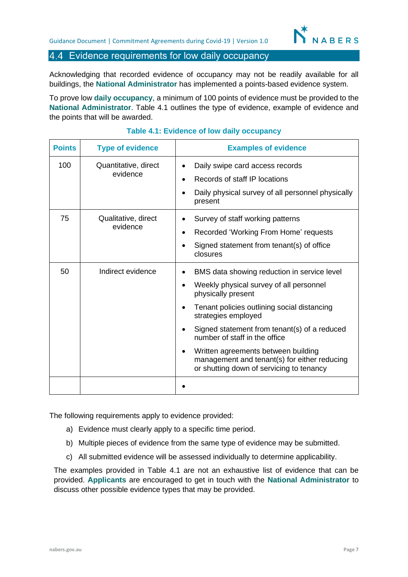### 4.4 Evidence requirements for low daily occupancy

Acknowledging that recorded evidence of occupancy may not be readily available for all buildings, the **National Administrator** has implemented a points-based evidence system.

To prove low **daily occupancy**, a minimum of 100 points of evidence must be provided to the **National Administrator**. Table 4.1 outlines the type of evidence, example of evidence and the points that will be awarded.

| <b>Points</b> | <b>Type of evidence</b>          | <b>Examples of evidence</b>                                                                                                                                                                                                                                                                                                                                                                                                                                |
|---------------|----------------------------------|------------------------------------------------------------------------------------------------------------------------------------------------------------------------------------------------------------------------------------------------------------------------------------------------------------------------------------------------------------------------------------------------------------------------------------------------------------|
| 100           | Quantitative, direct<br>evidence | Daily swipe card access records<br>$\bullet$<br>Records of staff IP locations<br>$\bullet$<br>Daily physical survey of all personnel physically<br>present                                                                                                                                                                                                                                                                                                 |
| 75            | Qualitative, direct<br>evidence  | Survey of staff working patterns<br>$\bullet$<br>Recorded 'Working From Home' requests<br>$\bullet$<br>Signed statement from tenant(s) of office<br>$\bullet$<br>closures                                                                                                                                                                                                                                                                                  |
| 50            | Indirect evidence                | BMS data showing reduction in service level<br>Weekly physical survey of all personnel<br>$\bullet$<br>physically present<br>Tenant policies outlining social distancing<br>$\bullet$<br>strategies employed<br>Signed statement from tenant(s) of a reduced<br>$\bullet$<br>number of staff in the office<br>Written agreements between building<br>$\bullet$<br>management and tenant(s) for either reducing<br>or shutting down of servicing to tenancy |
|               |                                  |                                                                                                                                                                                                                                                                                                                                                                                                                                                            |

#### **Table 4.1: Evidence of low daily occupancy**

The following requirements apply to evidence provided:

- a) Evidence must clearly apply to a specific time period.
- b) Multiple pieces of evidence from the same type of evidence may be submitted.
- c) All submitted evidence will be assessed individually to determine applicability.

The examples provided in Table 4.1 are not an exhaustive list of evidence that can be provided. **Applicants** are encouraged to get in touch with the **National Administrator** to discuss other possible evidence types that may be provided.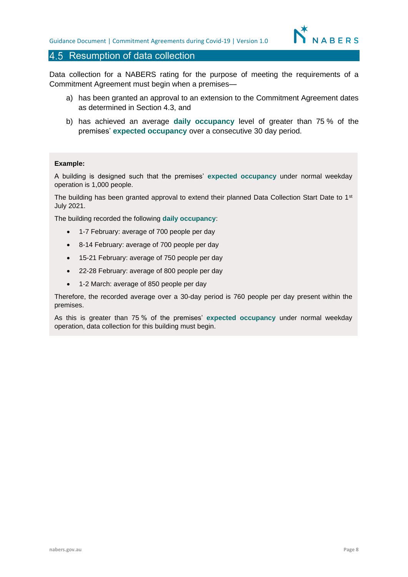#### 4.5 Resumption of data collection

Data collection for a NABERS rating for the purpose of meeting the requirements of a Commitment Agreement must begin when a premises—

- a) has been granted an approval to an extension to the Commitment Agreement dates as determined in Section 4.3, and
- b) has achieved an average **daily occupancy** level of greater than 75 % of the premises' **expected occupancy** over a consecutive 30 day period.

#### **Example:**

A building is designed such that the premises' **expected occupancy** under normal weekday operation is 1,000 people.

The building has been granted approval to extend their planned Data Collection Start Date to 1<sup>st</sup> July 2021.

The building recorded the following **daily occupancy**:

- 1-7 February: average of 700 people per day
- 8-14 February: average of 700 people per day
- 15-21 February: average of 750 people per day
- 22-28 February: average of 800 people per day
- 1-2 March: average of 850 people per day

Therefore, the recorded average over a 30-day period is 760 people per day present within the premises.

As this is greater than 75 % of the premises' **expected occupancy** under normal weekday operation, data collection for this building must begin.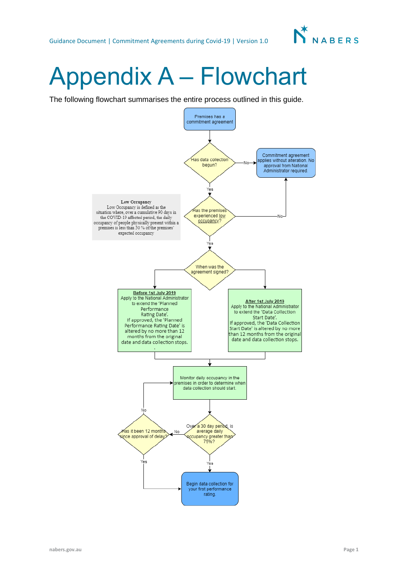

# Appendix A – Flowchart

The following flowchart summarises the entire process outlined in this guide.